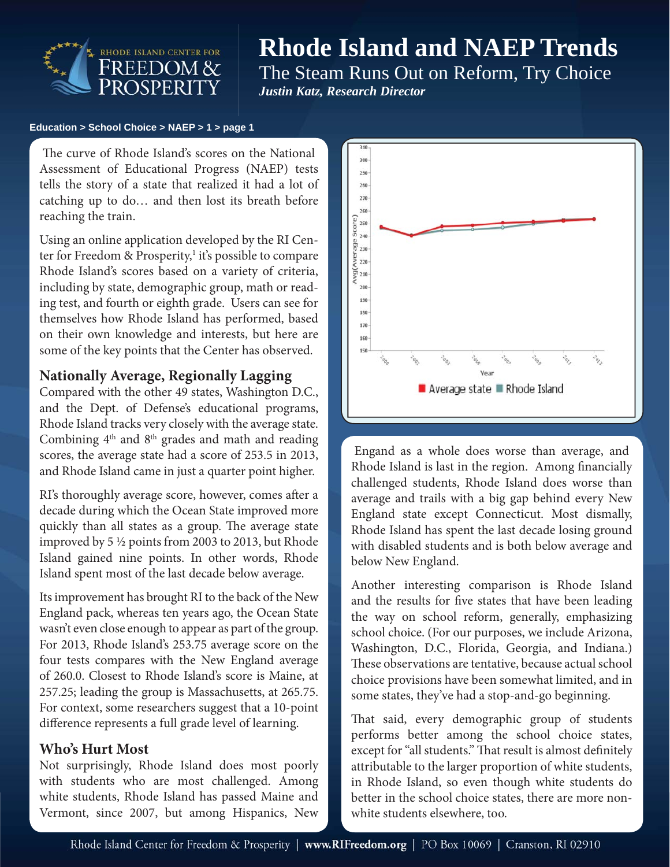

# **Rhode Island and NAEP Trends**

The Steam Runs Out on Reform, Try Choice *Justin Katz, Research Director*

#### **Education > School Choice > NAEP > 1 > page 1**

 Assessment of Educational Progress (NAEP) tests The curve of Rhode Island's scores on the National tells the story of a state that realized it had a lot of catching up to do… and then lost its breath before reaching the train.

Using an online application developed by the RI Center for Freedom & Prosperity,<sup>1</sup> it's possible to compare Rhode Island's scores based on a variety of criteria, including by state, demographic group, math or reading test, and fourth or eighth grade. Users can see for themselves how Rhode Island has performed, based on their own knowledge and interests, but here are some of the key points that the Center has observed.

#### **Nationally Average, Regionally Lagging**

Compared with the other 49 states, Washington D.C., and the Dept. of Defense's educational programs, Rhode Island tracks very closely with the average state. Combining  $4<sup>th</sup>$  and  $8<sup>th</sup>$  grades and math and reading scores, the average state had a score of 253.5 in 2013, and Rhode Island came in just a quarter point higher.

RI's thoroughly average score, however, comes after a decade during which the Ocean State improved more quickly than all states as a group. The average state improved by 5 ½ points from 2003 to 2013, but Rhode Island gained nine points. In other words, Rhode Island spent most of the last decade below average.

Its improvement has brought RI to the back of the New England pack, whereas ten years ago, the Ocean State wasn't even close enough to appear as part of the group. For 2013, Rhode Island's 253.75 average score on the four tests compares with the New England average of 260.0. Closest to Rhode Island's score is Maine, at 257.25; leading the group is Massachusetts, at 265.75. For context, some researchers suggest that a 10-point difference represents a full grade level of learning.

### **Who's Hurt Most**

Not surprisingly, Rhode Island does most poorly with students who are most challenged. Among white students, Rhode Island has passed Maine and Vermont, since 2007, but among Hispanics, New



Engand as a whole does worse than average, and Rhode Island is last in the region. Among financially challenged students, Rhode Island does worse than average and trails with a big gap behind every New England state except Connecticut. Most dismally, Rhode Island has spent the last decade losing ground with disabled students and is both below average and below New England.

Another interesting comparison is Rhode Island and the results for five states that have been leading the way on school reform, generally, emphasizing school choice. (For our purposes, we include Arizona, Washington, D.C., Florida, Georgia, and Indiana.) These observations are tentative, because actual school choice provisions have been somewhat limited, and in some states, they've had a stop-and-go beginning.

That said, every demographic group of students performs better among the school choice states, except for "all students." That result is almost definitely attributable to the larger proportion of white students, in Rhode Island, so even though white students do better in the school choice states, there are more nonwhite students elsewhere, too.